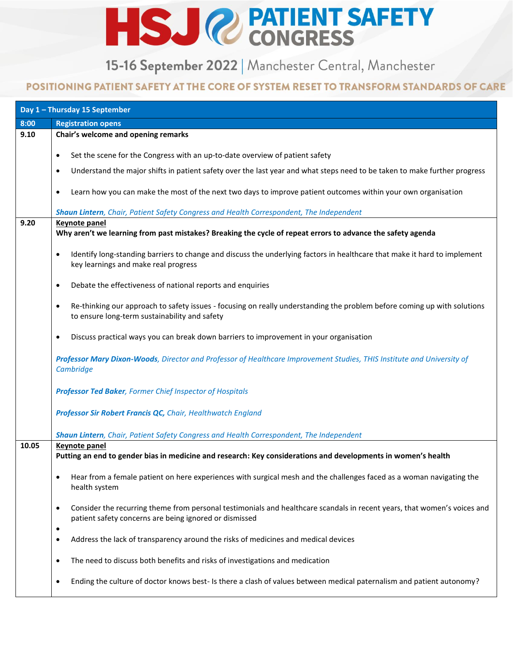## HSJ @ PATIENT SAFETY

15-16 September 2022 | Manchester Central, Manchester

## POSITIONING PATIENT SAFETY AT THE CORE OF SYSTEM RESET TO TRANSFORM STANDARDS OF CARE

|       | Day 1 - Thursday 15 September                                                                                                                                                                   |
|-------|-------------------------------------------------------------------------------------------------------------------------------------------------------------------------------------------------|
| 8:00  | <b>Registration opens</b>                                                                                                                                                                       |
| 9.10  | Chair's welcome and opening remarks                                                                                                                                                             |
|       |                                                                                                                                                                                                 |
|       | Set the scene for the Congress with an up-to-date overview of patient safety<br>$\bullet$                                                                                                       |
|       | Understand the major shifts in patient safety over the last year and what steps need to be taken to make further progress<br>٠                                                                  |
|       | Learn how you can make the most of the next two days to improve patient outcomes within your own organisation<br>٠                                                                              |
|       | Shaun Lintern, Chair, Patient Safety Congress and Health Correspondent, The Independent                                                                                                         |
| 9.20  | <b>Keynote panel</b>                                                                                                                                                                            |
|       | Why aren't we learning from past mistakes? Breaking the cycle of repeat errors to advance the safety agenda                                                                                     |
|       | Identify long-standing barriers to change and discuss the underlying factors in healthcare that make it hard to implement<br>$\bullet$<br>key learnings and make real progress                  |
|       | Debate the effectiveness of national reports and enquiries<br>$\bullet$                                                                                                                         |
|       | Re-thinking our approach to safety issues - focusing on really understanding the problem before coming up with solutions<br>$\bullet$<br>to ensure long-term sustainability and safety          |
|       | Discuss practical ways you can break down barriers to improvement in your organisation<br>٠                                                                                                     |
|       | Professor Mary Dixon-Woods, Director and Professor of Healthcare Improvement Studies, THIS Institute and University of<br>Cambridge                                                             |
|       | Professor Ted Baker, Former Chief Inspector of Hospitals                                                                                                                                        |
|       | Professor Sir Robert Francis QC, Chair, Healthwatch England                                                                                                                                     |
|       | Shaun Lintern, Chair, Patient Safety Congress and Health Correspondent, The Independent                                                                                                         |
| 10.05 | <b>Keynote panel</b>                                                                                                                                                                            |
|       | Putting an end to gender bias in medicine and research: Key considerations and developments in women's health                                                                                   |
|       |                                                                                                                                                                                                 |
|       | Hear from a female patient on here experiences with surgical mesh and the challenges faced as a woman navigating the<br>٠<br>health system                                                      |
|       | Consider the recurring theme from personal testimonials and healthcare scandals in recent years, that women's voices and<br>$\bullet$<br>patient safety concerns are being ignored or dismissed |
|       | $\bullet$<br>Address the lack of transparency around the risks of medicines and medical devices<br>$\bullet$                                                                                    |
|       | The need to discuss both benefits and risks of investigations and medication<br>٠                                                                                                               |
|       | Ending the culture of doctor knows best- Is there a clash of values between medical paternalism and patient autonomy?<br>$\bullet$                                                              |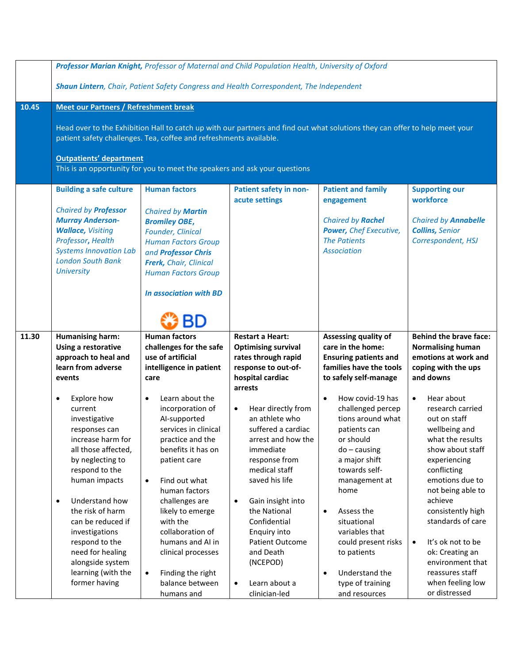|       | Professor Marian Knight, Professor of Maternal and Child Population Health, University of Oxford<br>Shaun Lintern, Chair, Patient Safety Congress and Health Correspondent, The Independent                                                                                                                                                                         |                                                                                                                                                                                                                                                                                                                                                                                      |                                                                                                                                                                                                                                                                                                                                                    |                                                                                                                                                                                                                                                                                                                                                         |                                                                                                                                                                                                                                                                                                                                                                                   |  |  |
|-------|---------------------------------------------------------------------------------------------------------------------------------------------------------------------------------------------------------------------------------------------------------------------------------------------------------------------------------------------------------------------|--------------------------------------------------------------------------------------------------------------------------------------------------------------------------------------------------------------------------------------------------------------------------------------------------------------------------------------------------------------------------------------|----------------------------------------------------------------------------------------------------------------------------------------------------------------------------------------------------------------------------------------------------------------------------------------------------------------------------------------------------|---------------------------------------------------------------------------------------------------------------------------------------------------------------------------------------------------------------------------------------------------------------------------------------------------------------------------------------------------------|-----------------------------------------------------------------------------------------------------------------------------------------------------------------------------------------------------------------------------------------------------------------------------------------------------------------------------------------------------------------------------------|--|--|
| 10.45 |                                                                                                                                                                                                                                                                                                                                                                     |                                                                                                                                                                                                                                                                                                                                                                                      |                                                                                                                                                                                                                                                                                                                                                    |                                                                                                                                                                                                                                                                                                                                                         |                                                                                                                                                                                                                                                                                                                                                                                   |  |  |
|       | <b>Meet our Partners / Refreshment break</b><br>Head over to the Exhibition Hall to catch up with our partners and find out what solutions they can offer to help meet your<br>patient safety challenges. Tea, coffee and refreshments available.<br><b>Outpatients' department</b><br>This is an opportunity for you to meet the speakers and ask your questions   |                                                                                                                                                                                                                                                                                                                                                                                      |                                                                                                                                                                                                                                                                                                                                                    |                                                                                                                                                                                                                                                                                                                                                         |                                                                                                                                                                                                                                                                                                                                                                                   |  |  |
|       | <b>Building a safe culture</b>                                                                                                                                                                                                                                                                                                                                      | <b>Human factors</b>                                                                                                                                                                                                                                                                                                                                                                 | Patient safety in non-                                                                                                                                                                                                                                                                                                                             | <b>Patient and family</b>                                                                                                                                                                                                                                                                                                                               | <b>Supporting our</b>                                                                                                                                                                                                                                                                                                                                                             |  |  |
|       | <b>Chaired by Professor</b><br><b>Murray Anderson-</b><br><b>Wallace, Visiting</b><br>Professor, Health<br><b>Systems Innovation Lab</b><br><b>London South Bank</b><br><b>University</b>                                                                                                                                                                           | <b>Chaired by Martin</b><br><b>Bromiley OBE,</b><br>Founder, Clinical<br><b>Human Factors Group</b><br>and Professor Chris<br>Frerk, Chair, Clinical<br><b>Human Factors Group</b><br><b>In association with BD</b><br>BD                                                                                                                                                            | acute settings                                                                                                                                                                                                                                                                                                                                     | engagement<br><b>Chaired by Rachel</b><br>Power, Chef Executive,<br><b>The Patients</b><br><b>Association</b>                                                                                                                                                                                                                                           | workforce<br><b>Chaired by Annabelle</b><br><b>Collins, Senior</b><br>Correspondent, HSJ                                                                                                                                                                                                                                                                                          |  |  |
| 11.30 | <b>Humanising harm:</b>                                                                                                                                                                                                                                                                                                                                             | <b>Human factors</b>                                                                                                                                                                                                                                                                                                                                                                 | <b>Restart a Heart:</b>                                                                                                                                                                                                                                                                                                                            | Assessing quality of                                                                                                                                                                                                                                                                                                                                    | <b>Behind the brave face:</b>                                                                                                                                                                                                                                                                                                                                                     |  |  |
|       | Using a restorative<br>approach to heal and<br>learn from adverse<br>events                                                                                                                                                                                                                                                                                         | challenges for the safe<br>use of artificial<br>intelligence in patient<br>care                                                                                                                                                                                                                                                                                                      | <b>Optimising survival</b><br>rates through rapid<br>response to out-of-<br>hospital cardiac<br>arrests                                                                                                                                                                                                                                            | care in the home:<br><b>Ensuring patients and</b><br>families have the tools<br>to safely self-manage                                                                                                                                                                                                                                                   | <b>Normalising human</b><br>emotions at work and<br>coping with the ups<br>and downs                                                                                                                                                                                                                                                                                              |  |  |
|       | Explore how<br>$\bullet$<br>current<br>investigative<br>responses can<br>increase harm for<br>all those affected,<br>by neglecting to<br>respond to the<br>human impacts<br>Understand how<br>$\bullet$<br>the risk of harm<br>can be reduced if<br>investigations<br>respond to the<br>need for healing<br>alongside system<br>learning (with the<br>former having | Learn about the<br>$\bullet$<br>incorporation of<br>Al-supported<br>services in clinical<br>practice and the<br>benefits it has on<br>patient care<br>Find out what<br>$\bullet$<br>human factors<br>challenges are<br>likely to emerge<br>with the<br>collaboration of<br>humans and AI in<br>clinical processes<br>Finding the right<br>$\bullet$<br>balance between<br>humans and | Hear directly from<br>$\bullet$<br>an athlete who<br>suffered a cardiac<br>arrest and how the<br>immediate<br>response from<br>medical staff<br>saved his life<br>Gain insight into<br>$\bullet$<br>the National<br>Confidential<br>Enquiry into<br><b>Patient Outcome</b><br>and Death<br>(NCEPOD)<br>Learn about a<br>$\bullet$<br>clinician-led | How covid-19 has<br>$\bullet$<br>challenged percep<br>tions around what<br>patients can<br>or should<br>$do - causing$<br>a major shift<br>towards self-<br>management at<br>home<br>Assess the<br>$\bullet$<br>situational<br>variables that<br>could present risks<br>to patients<br>Understand the<br>$\bullet$<br>type of training<br>and resources | Hear about<br>$\bullet$<br>research carried<br>out on staff<br>wellbeing and<br>what the results<br>show about staff<br>experiencing<br>conflicting<br>emotions due to<br>not being able to<br>achieve<br>consistently high<br>standards of care<br>It's ok not to be<br>$\bullet$<br>ok: Creating an<br>environment that<br>reassures staff<br>when feeling low<br>or distressed |  |  |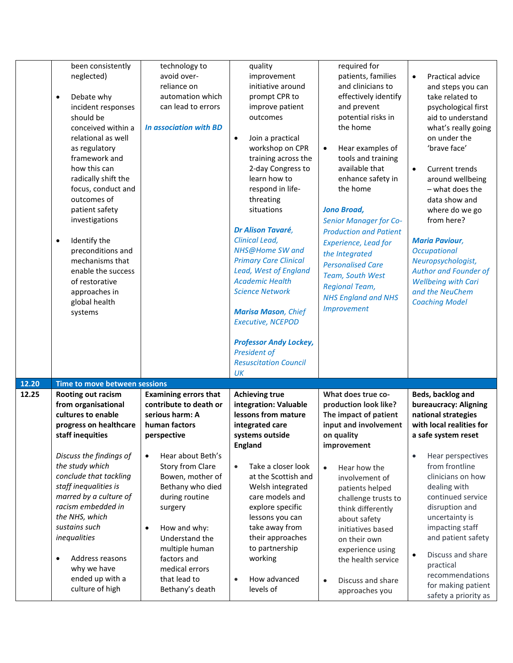|       | been consistently<br>neglected)<br>Debate why<br>$\bullet$<br>incident responses<br>should be<br>conceived within a<br>relational as well<br>as regulatory<br>framework and<br>how this can<br>radically shift the<br>focus, conduct and<br>outcomes of<br>patient safety<br>investigations<br>Identify the<br>$\bullet$<br>preconditions and<br>mechanisms that<br>enable the success<br>of restorative<br>approaches in<br>global health<br>systems | technology to<br>avoid over-<br>reliance on<br>automation which<br>can lead to errors<br><b>In association with BD</b>                                                                                                                                       | quality<br>improvement<br>initiative around<br>prompt CPR to<br>improve patient<br>outcomes<br>Join a practical<br>$\bullet$<br>workshop on CPR<br>training across the<br>2-day Congress to<br>learn how to<br>respond in life-<br>threating<br>situations<br>Dr Alison Tavaré,<br>Clinical Lead,<br>NHS@Home SW and<br><b>Primary Care Clinical</b><br>Lead, West of England<br><b>Academic Health</b><br><b>Science Network</b><br><b>Marisa Mason, Chief</b><br>Executive, NCEPOD<br><b>Professor Andy Lockey,</b><br><b>President of</b><br><b>Resuscitation Council</b> | required for<br>patients, families<br>and clinicians to<br>effectively identify<br>and prevent<br>potential risks in<br>the home<br>Hear examples of<br>$\bullet$<br>tools and training<br>available that<br>enhance safety in<br>the home<br><b>Jono Broad,</b><br><b>Senior Manager for Co-</b><br><b>Production and Patient</b><br><b>Experience, Lead for</b><br>the Integrated<br><b>Personalised Care</b><br>Team, South West<br><b>Regional Team,</b><br><b>NHS England and NHS</b><br><b>Improvement</b> | Practical advice<br>$\bullet$<br>and steps you can<br>take related to<br>psychological first<br>aid to understand<br>what's really going<br>on under the<br>'brave face'<br>Current trends<br>$\bullet$<br>around wellbeing<br>- what does the<br>data show and<br>where do we go<br>from here?<br><b>Maria Paviour,</b><br>Occupational<br>Neuropsychologist,<br><b>Author and Founder of</b><br><b>Wellbeing with Cari</b><br>and the NeuChem<br><b>Coaching Model</b> |
|-------|-------------------------------------------------------------------------------------------------------------------------------------------------------------------------------------------------------------------------------------------------------------------------------------------------------------------------------------------------------------------------------------------------------------------------------------------------------|--------------------------------------------------------------------------------------------------------------------------------------------------------------------------------------------------------------------------------------------------------------|------------------------------------------------------------------------------------------------------------------------------------------------------------------------------------------------------------------------------------------------------------------------------------------------------------------------------------------------------------------------------------------------------------------------------------------------------------------------------------------------------------------------------------------------------------------------------|------------------------------------------------------------------------------------------------------------------------------------------------------------------------------------------------------------------------------------------------------------------------------------------------------------------------------------------------------------------------------------------------------------------------------------------------------------------------------------------------------------------|--------------------------------------------------------------------------------------------------------------------------------------------------------------------------------------------------------------------------------------------------------------------------------------------------------------------------------------------------------------------------------------------------------------------------------------------------------------------------|
|       |                                                                                                                                                                                                                                                                                                                                                                                                                                                       |                                                                                                                                                                                                                                                              | UK                                                                                                                                                                                                                                                                                                                                                                                                                                                                                                                                                                           |                                                                                                                                                                                                                                                                                                                                                                                                                                                                                                                  |                                                                                                                                                                                                                                                                                                                                                                                                                                                                          |
| 12.20 | Time to move between sessions                                                                                                                                                                                                                                                                                                                                                                                                                         |                                                                                                                                                                                                                                                              |                                                                                                                                                                                                                                                                                                                                                                                                                                                                                                                                                                              |                                                                                                                                                                                                                                                                                                                                                                                                                                                                                                                  |                                                                                                                                                                                                                                                                                                                                                                                                                                                                          |
| 12.25 | Rooting out racism<br>from organisational<br>cultures to enable<br>progress on healthcare<br>staff inequities                                                                                                                                                                                                                                                                                                                                         | <b>Examining errors that</b><br>contribute to death or<br>serious harm: A<br>human factors<br>perspective                                                                                                                                                    | <b>Achieving true</b><br>integration: Valuable<br>lessons from mature<br>integrated care<br>systems outside<br><b>England</b>                                                                                                                                                                                                                                                                                                                                                                                                                                                | What does true co-<br>production look like?<br>The impact of patient<br>input and involvement<br>on quality<br>improvement                                                                                                                                                                                                                                                                                                                                                                                       | Beds, backlog and<br>bureaucracy: Aligning<br>national strategies<br>with local realities for<br>a safe system reset                                                                                                                                                                                                                                                                                                                                                     |
|       | Discuss the findings of<br>the study which<br>conclude that tackling<br>staff inequalities is<br>marred by a culture of<br>racism embedded in<br>the NHS, which<br>sustains such<br>inequalities<br>Address reasons<br>$\bullet$<br>why we have<br>ended up with a<br>culture of high                                                                                                                                                                 | Hear about Beth's<br>$\bullet$<br>Story from Clare<br>Bowen, mother of<br>Bethany who died<br>during routine<br>surgery<br>How and why:<br>$\bullet$<br>Understand the<br>multiple human<br>factors and<br>medical errors<br>that lead to<br>Bethany's death | Take a closer look<br>$\bullet$<br>at the Scottish and<br>Welsh integrated<br>care models and<br>explore specific<br>lessons you can<br>take away from<br>their approaches<br>to partnership<br>working<br>How advanced<br>$\bullet$<br>levels of                                                                                                                                                                                                                                                                                                                            | Hear how the<br>$\bullet$<br>involvement of<br>patients helped<br>challenge trusts to<br>think differently<br>about safety<br>initiatives based<br>on their own<br>experience using<br>the health service<br>Discuss and share<br>$\bullet$<br>approaches you                                                                                                                                                                                                                                                    | Hear perspectives<br>$\bullet$<br>from frontline<br>clinicians on how<br>dealing with<br>continued service<br>disruption and<br>uncertainty is<br>impacting staff<br>and patient safety<br>Discuss and share<br>$\bullet$<br>practical<br>recommendations<br>for making patient                                                                                                                                                                                          |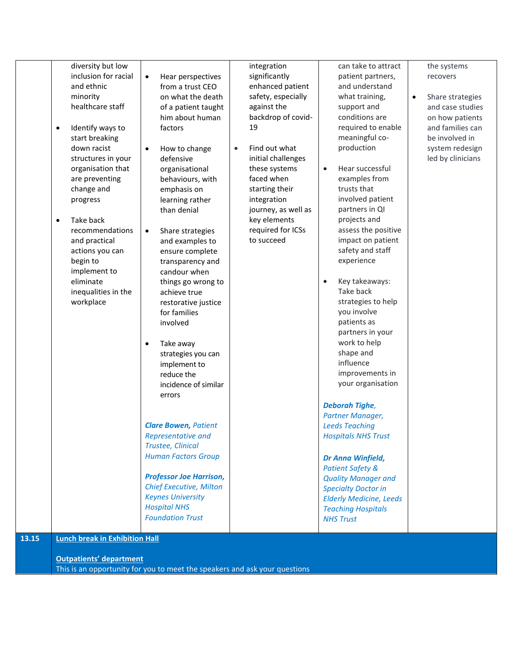| $\bullet$<br>٠ | diversity but low<br>inclusion for racial<br>and ethnic<br>minority<br>healthcare staff<br>Identify ways to<br>start breaking<br>down racist<br>structures in your<br>organisation that<br>are preventing<br>change and<br>progress<br>Take back<br>recommendations<br>and practical<br>actions you can<br>begin to<br>implement to<br>eliminate<br>inequalities in the<br>workplace | Hear perspectives<br>$\bullet$<br>from a trust CEO<br>on what the death<br>of a patient taught<br>him about human<br>factors<br>How to change<br>$\bullet$<br>defensive<br>organisational<br>behaviours, with<br>emphasis on<br>learning rather<br>than denial<br>Share strategies<br>$\bullet$<br>and examples to<br>ensure complete<br>transparency and<br>candour when<br>things go wrong to<br>achieve true<br>restorative justice<br>for families<br>involved<br>Take away<br>$\bullet$<br>strategies you can<br>implement to<br>reduce the<br>incidence of similar<br>errors<br><b>Clare Bowen, Patient</b><br>Representative and<br>Trustee, Clinical<br><b>Human Factors Group</b><br><b>Professor Joe Harrison,</b><br><b>Chief Executive, Milton</b><br><b>Keynes University</b><br><b>Hospital NHS</b><br><b>Foundation Trust</b> | integration<br>significantly<br>enhanced patient<br>safety, especially<br>against the<br>backdrop of covid-<br>19<br>Find out what<br>$\bullet$<br>initial challenges<br>these systems<br>faced when<br>starting their<br>integration<br>journey, as well as<br>key elements<br>required for ICSs<br>to succeed | can take to attract<br>patient partners,<br>and understand<br>what training,<br>support and<br>conditions are<br>required to enable<br>meaningful co-<br>production<br>Hear successful<br>$\bullet$<br>examples from<br>trusts that<br>involved patient<br>partners in QI<br>projects and<br>assess the positive<br>impact on patient<br>safety and staff<br>experience<br>Key takeaways:<br>$\bullet$<br>Take back<br>strategies to help<br>you involve<br>patients as<br>partners in your<br>work to help<br>shape and<br>influence<br>improvements in<br>your organisation<br><b>Deborah Tighe,</b><br>Partner Manager,<br><b>Leeds Teaching</b><br><b>Hospitals NHS Trust</b><br>Dr Anna Winfield,<br><b>Patient Safety &amp;</b><br><b>Quality Manager and</b><br><b>Specialty Doctor in</b><br><b>Elderly Medicine, Leeds</b><br><b>Teaching Hospitals</b><br><b>NHS Trust</b> | the systems<br>recovers<br>Share strategies<br>$\bullet$<br>and case studies<br>on how patients<br>and families can<br>be involved in<br>system redesign<br>led by clinicians |
|----------------|--------------------------------------------------------------------------------------------------------------------------------------------------------------------------------------------------------------------------------------------------------------------------------------------------------------------------------------------------------------------------------------|----------------------------------------------------------------------------------------------------------------------------------------------------------------------------------------------------------------------------------------------------------------------------------------------------------------------------------------------------------------------------------------------------------------------------------------------------------------------------------------------------------------------------------------------------------------------------------------------------------------------------------------------------------------------------------------------------------------------------------------------------------------------------------------------------------------------------------------------|-----------------------------------------------------------------------------------------------------------------------------------------------------------------------------------------------------------------------------------------------------------------------------------------------------------------|--------------------------------------------------------------------------------------------------------------------------------------------------------------------------------------------------------------------------------------------------------------------------------------------------------------------------------------------------------------------------------------------------------------------------------------------------------------------------------------------------------------------------------------------------------------------------------------------------------------------------------------------------------------------------------------------------------------------------------------------------------------------------------------------------------------------------------------------------------------------------------------|-------------------------------------------------------------------------------------------------------------------------------------------------------------------------------|
| 13.15          | <b>Lunch break in Exhibition Hall</b>                                                                                                                                                                                                                                                                                                                                                |                                                                                                                                                                                                                                                                                                                                                                                                                                                                                                                                                                                                                                                                                                                                                                                                                                              |                                                                                                                                                                                                                                                                                                                 |                                                                                                                                                                                                                                                                                                                                                                                                                                                                                                                                                                                                                                                                                                                                                                                                                                                                                      |                                                                                                                                                                               |
|                | <b>Outpatients' department</b>                                                                                                                                                                                                                                                                                                                                                       | This is an opportunity for you to meet the speakers and ask your questions                                                                                                                                                                                                                                                                                                                                                                                                                                                                                                                                                                                                                                                                                                                                                                   |                                                                                                                                                                                                                                                                                                                 |                                                                                                                                                                                                                                                                                                                                                                                                                                                                                                                                                                                                                                                                                                                                                                                                                                                                                      |                                                                                                                                                                               |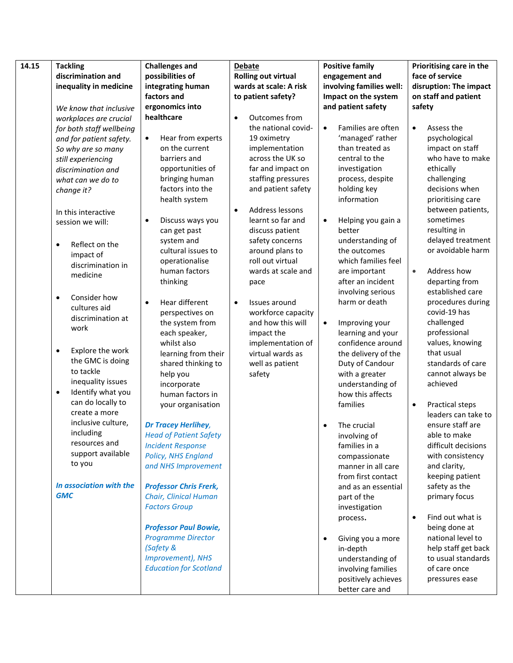| 14.15 | <b>Tackling</b>                | <b>Challenges and</b>          | <b>Debate</b>                | <b>Positive family</b>          | Prioritising care in the      |
|-------|--------------------------------|--------------------------------|------------------------------|---------------------------------|-------------------------------|
|       | discrimination and             | possibilities of               | <b>Rolling out virtual</b>   | engagement and                  | face of service               |
|       | inequality in medicine         | integrating human              | wards at scale: A risk       | involving families well:        | disruption: The impact        |
|       |                                | factors and                    | to patient safety?           | Impact on the system            | on staff and patient          |
|       | We know that inclusive         | ergonomics into                |                              | and patient safety              | safety                        |
|       | workplaces are crucial         | healthcare                     | Outcomes from<br>$\bullet$   |                                 |                               |
|       | for both staff wellbeing       |                                | the national covid-          | Families are often<br>$\bullet$ | Assess the<br>$\bullet$       |
|       | and for patient safety.        | Hear from experts<br>$\bullet$ | 19 oximetry                  | 'managed' rather                | psychological                 |
|       | So why are so many             | on the current                 | implementation               | than treated as                 | impact on staff               |
|       | still experiencing             | barriers and                   | across the UK so             | central to the                  | who have to make              |
|       | discrimination and             | opportunities of               | far and impact on            | investigation                   | ethically                     |
|       | what can we do to              | bringing human                 | staffing pressures           | process, despite                | challenging                   |
|       | change it?                     | factors into the               | and patient safety           | holding key                     | decisions when                |
|       |                                | health system                  |                              | information                     | prioritising care             |
|       | In this interactive            |                                | Address lessons<br>$\bullet$ |                                 | between patients,             |
|       | session we will:               | Discuss ways you               | learnt so far and            | Helping you gain a<br>$\bullet$ | sometimes                     |
|       |                                | can get past                   | discuss patient              | better                          | resulting in                  |
|       |                                | system and                     | safety concerns              | understanding of                | delayed treatment             |
|       | Reflect on the<br>$\bullet$    | cultural issues to             | around plans to              | the outcomes                    | or avoidable harm             |
|       | impact of                      | operationalise                 | roll out virtual             | which families feel             |                               |
|       | discrimination in              | human factors                  | wards at scale and           | are important                   | Address how<br>$\bullet$      |
|       | medicine                       | thinking                       | pace                         | after an incident               | departing from                |
|       |                                |                                |                              | involving serious               | established care              |
|       | Consider how<br>$\bullet$      | Hear different<br>$\bullet$    | Issues around<br>$\bullet$   | harm or death                   | procedures during             |
|       | cultures aid                   | perspectives on                | workforce capacity           |                                 | covid-19 has                  |
|       | discrimination at              | the system from                | and how this will            | Improving your<br>$\bullet$     | challenged                    |
|       | work                           | each speaker,                  | impact the                   | learning and your               | professional                  |
|       |                                | whilst also                    | implementation of            | confidence around               | values, knowing               |
|       | Explore the work<br>$\bullet$  | learning from their            | virtual wards as             | the delivery of the             | that usual                    |
|       | the GMC is doing               | shared thinking to             | well as patient              | Duty of Candour                 | standards of care             |
|       | to tackle                      | help you                       | safety                       | with a greater                  | cannot always be              |
|       | inequality issues              | incorporate                    |                              | understanding of                | achieved                      |
|       | Identify what you<br>$\bullet$ | human factors in               |                              | how this affects                |                               |
|       | can do locally to              | your organisation              |                              | families                        | Practical steps<br>$\bullet$  |
|       | create a more                  |                                |                              |                                 | leaders can take to           |
|       | inclusive culture,             | <b>Dr Tracey Herlihey,</b>     |                              | The crucial                     | ensure staff are              |
|       | including                      | <b>Head of Patient Safety</b>  |                              | involving of                    | able to make                  |
|       | resources and                  | <b>Incident Response</b>       |                              | families in a                   | difficult decisions           |
|       | support available              | Policy, NHS England            |                              | compassionate                   | with consistency              |
|       | to you                         | and NHS Improvement            |                              | manner in all care              | and clarity,                  |
|       |                                |                                |                              | from first contact              | keeping patient               |
|       | In association with the        | <b>Professor Chris Frerk,</b>  |                              | and as an essential             | safety as the                 |
|       | <b>GMC</b>                     | Chair, Clinical Human          |                              | part of the                     | primary focus                 |
|       |                                | <b>Factors Group</b>           |                              | investigation                   |                               |
|       |                                |                                |                              | process.                        | Find out what is<br>$\bullet$ |
|       |                                | <b>Professor Paul Bowie,</b>   |                              |                                 | being done at                 |
|       |                                | <b>Programme Director</b>      |                              | Giving you a more               | national level to             |
|       |                                | (Safety &                      |                              | in-depth                        | help staff get back           |
|       |                                | Improvement), NHS              |                              | understanding of                | to usual standards            |
|       |                                | <b>Education for Scotland</b>  |                              | involving families              | of care once                  |
|       |                                |                                |                              | positively achieves             | pressures ease                |
|       |                                |                                |                              | better care and                 |                               |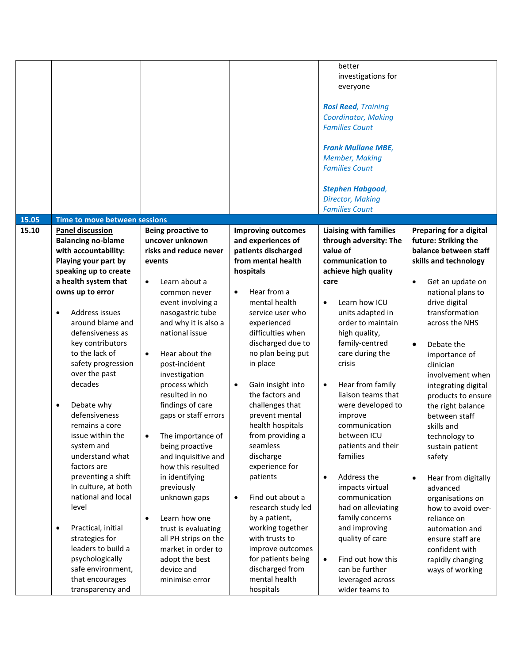|                                                                                                                                                                                                                                                                                                                                                                                                                                                                                                                                                                                                                                                                                                                           |                                                                                                                                                                                                                                                                                                                                                                                                                                                                                                                                                                                                                                                            |                                                                                                                                                                                                                                                                                                                                                                                                                                                                                                                                                                                                                                                                        | <b>Member, Making</b><br><b>Families Count</b><br><b>Stephen Habgood,</b><br><b>Director, Making</b><br><b>Families Count</b>                                                                                                                                                                                                                                                                                                                                                                                                                                                                                                                                  |                                                                                                                                                                                                                                                                                                                                                                                                                                                                                                                                                                                                                                                  |
|---------------------------------------------------------------------------------------------------------------------------------------------------------------------------------------------------------------------------------------------------------------------------------------------------------------------------------------------------------------------------------------------------------------------------------------------------------------------------------------------------------------------------------------------------------------------------------------------------------------------------------------------------------------------------------------------------------------------------|------------------------------------------------------------------------------------------------------------------------------------------------------------------------------------------------------------------------------------------------------------------------------------------------------------------------------------------------------------------------------------------------------------------------------------------------------------------------------------------------------------------------------------------------------------------------------------------------------------------------------------------------------------|------------------------------------------------------------------------------------------------------------------------------------------------------------------------------------------------------------------------------------------------------------------------------------------------------------------------------------------------------------------------------------------------------------------------------------------------------------------------------------------------------------------------------------------------------------------------------------------------------------------------------------------------------------------------|----------------------------------------------------------------------------------------------------------------------------------------------------------------------------------------------------------------------------------------------------------------------------------------------------------------------------------------------------------------------------------------------------------------------------------------------------------------------------------------------------------------------------------------------------------------------------------------------------------------------------------------------------------------|--------------------------------------------------------------------------------------------------------------------------------------------------------------------------------------------------------------------------------------------------------------------------------------------------------------------------------------------------------------------------------------------------------------------------------------------------------------------------------------------------------------------------------------------------------------------------------------------------------------------------------------------------|
| 15.05<br>Time to move between sessions                                                                                                                                                                                                                                                                                                                                                                                                                                                                                                                                                                                                                                                                                    |                                                                                                                                                                                                                                                                                                                                                                                                                                                                                                                                                                                                                                                            |                                                                                                                                                                                                                                                                                                                                                                                                                                                                                                                                                                                                                                                                        |                                                                                                                                                                                                                                                                                                                                                                                                                                                                                                                                                                                                                                                                |                                                                                                                                                                                                                                                                                                                                                                                                                                                                                                                                                                                                                                                  |
| <b>Panel discussion</b><br>15.10<br><b>Balancing no-blame</b><br>with accountability:<br>Playing your part by<br>speaking up to create<br>a health system that<br>owns up to error<br>Address issues<br>$\bullet$<br>around blame and<br>defensiveness as<br>key contributors<br>to the lack of<br>safety progression<br>over the past<br>decades<br>Debate why<br>$\bullet$<br>defensiveness<br>remains a core<br>issue within the<br>system and<br>understand what<br>factors are<br>preventing a shift<br>in culture, at both<br>national and local<br>level<br>Practical, initial<br>$\bullet$<br>strategies for<br>leaders to build a<br>psychologically<br>safe environment,<br>that encourages<br>transparency and | <b>Being proactive to</b><br>uncover unknown<br>risks and reduce never<br>events<br>Learn about a<br>$\bullet$<br>common never<br>event involving a<br>nasogastric tube<br>and why it is also a<br>national issue<br>Hear about the<br>$\bullet$<br>post-incident<br>investigation<br>process which<br>resulted in no<br>findings of care<br>gaps or staff errors<br>The importance of<br>being proactive<br>and inquisitive and<br>how this resulted<br>in identifying<br>previously<br>unknown gaps<br>Learn how one<br>$\bullet$<br>trust is evaluating<br>all PH strips on the<br>market in order to<br>adopt the best<br>device and<br>minimise error | <b>Improving outcomes</b><br>and experiences of<br>patients discharged<br>from mental health<br>hospitals<br>Hear from a<br>$\bullet$<br>mental health<br>service user who<br>experienced<br>difficulties when<br>discharged due to<br>no plan being put<br>in place<br>Gain insight into<br>$\bullet$<br>the factors and<br>challenges that<br>prevent mental<br>health hospitals<br>from providing a<br>seamless<br>discharge<br>experience for<br>patients<br>Find out about a<br>$\bullet$<br>research study led<br>by a patient,<br>working together<br>with trusts to<br>improve outcomes<br>for patients being<br>discharged from<br>mental health<br>hospitals | <b>Liaising with families</b><br>through adversity: The<br>value of<br>communication to<br>achieve high quality<br>care<br>Learn how ICU<br>$\bullet$<br>units adapted in<br>order to maintain<br>high quality,<br>family-centred<br>care during the<br>crisis<br>Hear from family<br>$\bullet$<br>liaison teams that<br>were developed to<br>improve<br>communication<br>between ICU<br>patients and their<br>families<br>Address the<br>$\bullet$<br>impacts virtual<br>communication<br>had on alleviating<br>family concerns<br>and improving<br>quality of care<br>Find out how this<br>$\bullet$<br>can be further<br>leveraged across<br>wider teams to | Preparing for a digital<br>future: Striking the<br>balance between staff<br>skills and technology<br>Get an update on<br>$\bullet$<br>national plans to<br>drive digital<br>transformation<br>across the NHS<br>$\bullet$<br>Debate the<br>importance of<br>clinician<br>involvement when<br>integrating digital<br>products to ensure<br>the right balance<br>between staff<br>skills and<br>technology to<br>sustain patient<br>safety<br>Hear from digitally<br>$\bullet$<br>advanced<br>organisations on<br>how to avoid over-<br>reliance on<br>automation and<br>ensure staff are<br>confident with<br>rapidly changing<br>ways of working |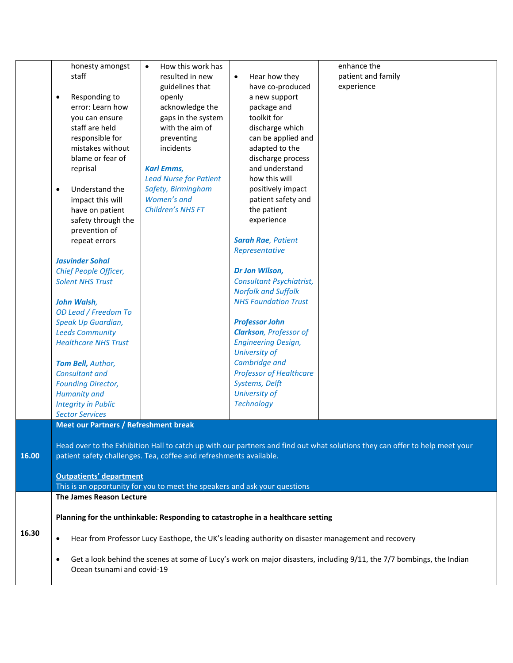|       | honesty amongst                                  | How this work has<br>$\bullet$                                             |                                                                                                                             | enhance the        |  |
|-------|--------------------------------------------------|----------------------------------------------------------------------------|-----------------------------------------------------------------------------------------------------------------------------|--------------------|--|
|       | staff                                            | resulted in new                                                            | Hear how they<br>$\bullet$                                                                                                  | patient and family |  |
|       |                                                  | guidelines that                                                            | have co-produced                                                                                                            | experience         |  |
|       | Responding to<br>$\bullet$                       | openly                                                                     | a new support                                                                                                               |                    |  |
|       | error: Learn how                                 | acknowledge the                                                            | package and                                                                                                                 |                    |  |
|       | vou can ensure                                   | gaps in the system                                                         | toolkit for                                                                                                                 |                    |  |
|       | staff are held                                   | with the aim of                                                            | discharge which                                                                                                             |                    |  |
|       | responsible for                                  | preventing                                                                 | can be applied and                                                                                                          |                    |  |
|       | mistakes without                                 | incidents                                                                  | adapted to the                                                                                                              |                    |  |
|       | blame or fear of                                 |                                                                            | discharge process                                                                                                           |                    |  |
|       | reprisal                                         | <b>Karl Emms,</b>                                                          | and understand                                                                                                              |                    |  |
|       |                                                  | <b>Lead Nurse for Patient</b>                                              | how this will                                                                                                               |                    |  |
|       | Understand the<br>$\bullet$                      | Safety, Birmingham                                                         | positively impact                                                                                                           |                    |  |
|       | impact this will                                 | Women's and                                                                | patient safety and                                                                                                          |                    |  |
|       | have on patient                                  | Children's NHS FT                                                          | the patient                                                                                                                 |                    |  |
|       | safety through the                               |                                                                            | experience                                                                                                                  |                    |  |
|       | prevention of                                    |                                                                            |                                                                                                                             |                    |  |
|       | repeat errors                                    |                                                                            | <b>Sarah Rae, Patient</b>                                                                                                   |                    |  |
|       |                                                  |                                                                            | Representative                                                                                                              |                    |  |
|       | <b>Jasvinder Sohal</b>                           |                                                                            |                                                                                                                             |                    |  |
|       | Chief People Officer,                            |                                                                            | Dr Jon Wilson,                                                                                                              |                    |  |
|       | <b>Solent NHS Trust</b>                          |                                                                            | Consultant Psychiatrist,                                                                                                    |                    |  |
|       |                                                  |                                                                            | <b>Norfolk and Suffolk</b>                                                                                                  |                    |  |
|       | <b>John Walsh,</b>                               |                                                                            | <b>NHS Foundation Trust</b>                                                                                                 |                    |  |
|       | OD Lead / Freedom To                             |                                                                            |                                                                                                                             |                    |  |
|       | Speak Up Guardian,                               |                                                                            | <b>Professor John</b>                                                                                                       |                    |  |
|       | <b>Leeds Community</b>                           |                                                                            | <b>Clarkson</b> , Professor of                                                                                              |                    |  |
|       | <b>Healthcare NHS Trust</b>                      |                                                                            | <b>Engineering Design,</b>                                                                                                  |                    |  |
|       |                                                  |                                                                            | University of                                                                                                               |                    |  |
|       |                                                  |                                                                            | Cambridge and                                                                                                               |                    |  |
|       | Tom Bell, Author,<br><b>Consultant and</b>       |                                                                            | <b>Professor of Healthcare</b>                                                                                              |                    |  |
|       |                                                  |                                                                            | Systems, Delft                                                                                                              |                    |  |
|       | <b>Founding Director,</b><br><b>Humanity and</b> |                                                                            | University of                                                                                                               |                    |  |
|       | <b>Integrity in Public</b>                       |                                                                            | <b>Technology</b>                                                                                                           |                    |  |
|       | <b>Sector Services</b>                           |                                                                            |                                                                                                                             |                    |  |
|       | <b>Meet our Partners / Refreshment break</b>     |                                                                            |                                                                                                                             |                    |  |
|       |                                                  |                                                                            |                                                                                                                             |                    |  |
|       |                                                  |                                                                            | Head over to the Exhibition Hall to catch up with our partners and find out what solutions they can offer to help meet your |                    |  |
| 16.00 |                                                  | patient safety challenges. Tea, coffee and refreshments available.         |                                                                                                                             |                    |  |
|       |                                                  |                                                                            |                                                                                                                             |                    |  |
|       | <b>Outpatients' department</b>                   |                                                                            |                                                                                                                             |                    |  |
|       |                                                  | This is an opportunity for you to meet the speakers and ask your questions |                                                                                                                             |                    |  |
|       | <b>The James Reason Lecture</b>                  |                                                                            |                                                                                                                             |                    |  |
|       |                                                  |                                                                            |                                                                                                                             |                    |  |
|       |                                                  |                                                                            | Planning for the unthinkable: Responding to catastrophe in a healthcare setting                                             |                    |  |
| 16.30 |                                                  |                                                                            |                                                                                                                             |                    |  |
|       | $\bullet$                                        |                                                                            | Hear from Professor Lucy Easthope, the UK's leading authority on disaster management and recovery                           |                    |  |
|       |                                                  |                                                                            |                                                                                                                             |                    |  |
|       | ٠                                                |                                                                            | Get a look behind the scenes at some of Lucy's work on major disasters, including 9/11, the 7/7 bombings, the Indian        |                    |  |
|       | Ocean tsunami and covid-19                       |                                                                            |                                                                                                                             |                    |  |
|       |                                                  |                                                                            |                                                                                                                             |                    |  |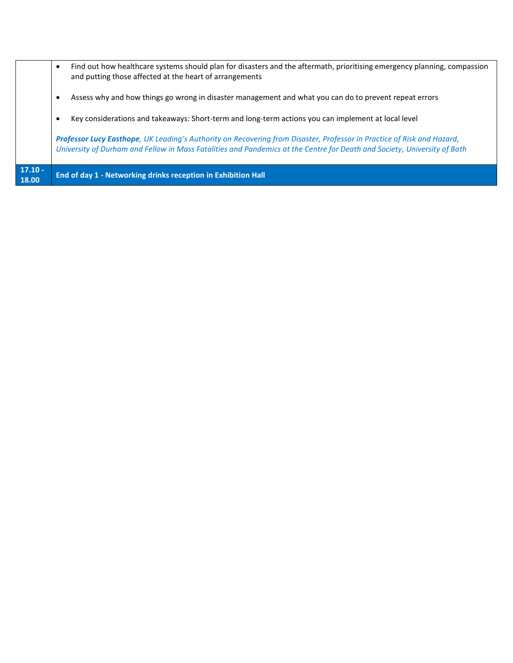| $17.10 -$<br>18.00 | End of day 1 - Networking drinks reception in Exhibition Hall                                                                                                                                                                                      |
|--------------------|----------------------------------------------------------------------------------------------------------------------------------------------------------------------------------------------------------------------------------------------------|
|                    | Professor Lucy Easthope, UK Leading's Authority on Recovering from Disaster, Professor in Practice of Risk and Hazard,<br>University of Durham and Fellow in Mass Fatalities and Pandemics at the Centre for Death and Society, University of Bath |
|                    | Key considerations and takeaways: Short-term and long-term actions you can implement at local level<br>$\bullet$                                                                                                                                   |
|                    | Assess why and how things go wrong in disaster management and what you can do to prevent repeat errors<br>٠                                                                                                                                        |
|                    | Find out how healthcare systems should plan for disasters and the aftermath, prioritising emergency planning, compassion<br>$\bullet$<br>and putting those affected at the heart of arrangements                                                   |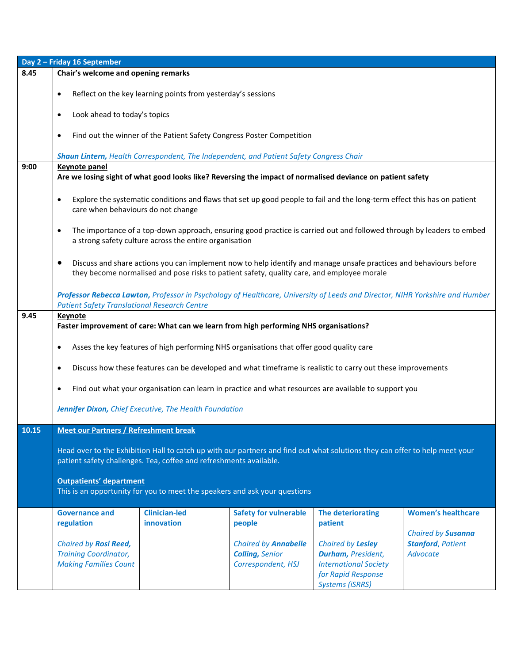| Day 2 - Friday 16 September |                                                                                                                                                                                                   |                                                        |                                                                                                                                                                                                                  |                                                                                                                         |                                                                   |  |  |  |
|-----------------------------|---------------------------------------------------------------------------------------------------------------------------------------------------------------------------------------------------|--------------------------------------------------------|------------------------------------------------------------------------------------------------------------------------------------------------------------------------------------------------------------------|-------------------------------------------------------------------------------------------------------------------------|-------------------------------------------------------------------|--|--|--|
| 8.45                        | Chair's welcome and opening remarks                                                                                                                                                               |                                                        |                                                                                                                                                                                                                  |                                                                                                                         |                                                                   |  |  |  |
|                             | Reflect on the key learning points from yesterday's sessions<br>$\bullet$                                                                                                                         |                                                        |                                                                                                                                                                                                                  |                                                                                                                         |                                                                   |  |  |  |
|                             | Look ahead to today's topics<br>$\bullet$                                                                                                                                                         |                                                        |                                                                                                                                                                                                                  |                                                                                                                         |                                                                   |  |  |  |
|                             | $\bullet$                                                                                                                                                                                         |                                                        | Find out the winner of the Patient Safety Congress Poster Competition                                                                                                                                            |                                                                                                                         |                                                                   |  |  |  |
|                             |                                                                                                                                                                                                   |                                                        | Shaun Lintern, Health Correspondent, The Independent, and Patient Safety Congress Chair                                                                                                                          |                                                                                                                         |                                                                   |  |  |  |
| 9:00                        | <b>Keynote panel</b>                                                                                                                                                                              |                                                        | Are we losing sight of what good looks like? Reversing the impact of normalised deviance on patient safety                                                                                                       |                                                                                                                         |                                                                   |  |  |  |
|                             | $\bullet$<br>care when behaviours do not change                                                                                                                                                   |                                                        | Explore the systematic conditions and flaws that set up good people to fail and the long-term effect this has on patient                                                                                         |                                                                                                                         |                                                                   |  |  |  |
|                             | $\bullet$                                                                                                                                                                                         | a strong safety culture across the entire organisation | The importance of a top-down approach, ensuring good practice is carried out and followed through by leaders to embed                                                                                            |                                                                                                                         |                                                                   |  |  |  |
|                             | ٠                                                                                                                                                                                                 |                                                        | Discuss and share actions you can implement now to help identify and manage unsafe practices and behaviours before<br>they become normalised and pose risks to patient safety, quality care, and employee morale |                                                                                                                         |                                                                   |  |  |  |
|                             | <b>Patient Safety Translational Research Centre</b>                                                                                                                                               |                                                        | Professor Rebecca Lawton, Professor in Psychology of Healthcare, University of Leeds and Director, NIHR Yorkshire and Humber                                                                                     |                                                                                                                         |                                                                   |  |  |  |
| 9.45                        | <b>Keynote</b>                                                                                                                                                                                    |                                                        |                                                                                                                                                                                                                  |                                                                                                                         |                                                                   |  |  |  |
|                             | Faster improvement of care: What can we learn from high performing NHS organisations?                                                                                                             |                                                        |                                                                                                                                                                                                                  |                                                                                                                         |                                                                   |  |  |  |
|                             | $\bullet$                                                                                                                                                                                         |                                                        | Asses the key features of high performing NHS organisations that offer good quality care                                                                                                                         |                                                                                                                         |                                                                   |  |  |  |
|                             | $\bullet$                                                                                                                                                                                         |                                                        | Discuss how these features can be developed and what timeframe is realistic to carry out these improvements                                                                                                      |                                                                                                                         |                                                                   |  |  |  |
|                             | $\bullet$                                                                                                                                                                                         |                                                        | Find out what your organisation can learn in practice and what resources are available to support you                                                                                                            |                                                                                                                         |                                                                   |  |  |  |
|                             | Jennifer Dixon, Chief Executive, The Health Foundation                                                                                                                                            |                                                        |                                                                                                                                                                                                                  |                                                                                                                         |                                                                   |  |  |  |
| 10.15                       | <b>Meet our Partners / Refreshment break</b>                                                                                                                                                      |                                                        |                                                                                                                                                                                                                  |                                                                                                                         |                                                                   |  |  |  |
|                             | Head over to the Exhibition Hall to catch up with our partners and find out what solutions they can offer to help meet your<br>patient safety challenges. Tea, coffee and refreshments available. |                                                        |                                                                                                                                                                                                                  |                                                                                                                         |                                                                   |  |  |  |
|                             | <b>Outpatients' department</b><br>This is an opportunity for you to meet the speakers and ask your questions                                                                                      |                                                        |                                                                                                                                                                                                                  |                                                                                                                         |                                                                   |  |  |  |
|                             | <b>Governance and</b>                                                                                                                                                                             | <b>Clinician-led</b>                                   | <b>Safety for vulnerable</b>                                                                                                                                                                                     | <b>The deteriorating</b>                                                                                                | <b>Women's healthcare</b>                                         |  |  |  |
|                             | regulation                                                                                                                                                                                        | innovation                                             | people                                                                                                                                                                                                           | patient                                                                                                                 |                                                                   |  |  |  |
|                             | Chaired by Rosi Reed,<br><b>Training Coordinator,</b><br><b>Making Families Count</b>                                                                                                             |                                                        | <b>Chaired by Annabelle</b><br><b>Colling, Senior</b><br>Correspondent, HSJ                                                                                                                                      | Chaired by Lesley<br>Durham, President,<br><b>International Society</b><br>for Rapid Response<br><b>Systems (iSRRS)</b> | Chaired by Susanna<br><b>Stanford, Patient</b><br><b>Advocate</b> |  |  |  |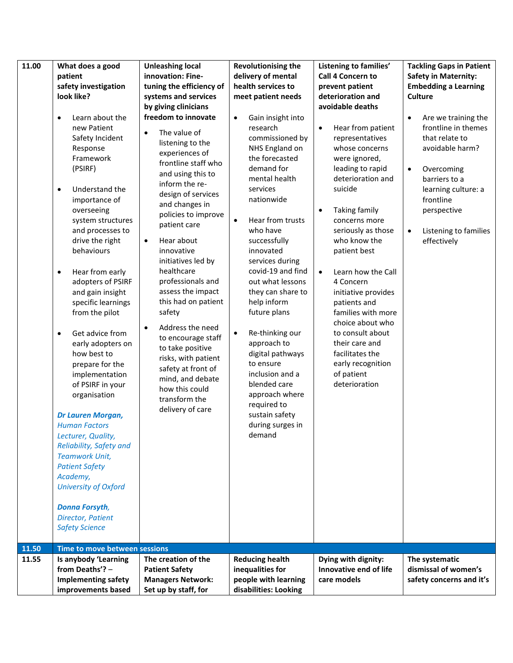| 11.00          | What does a good<br>patient<br>safety investigation<br>look like?<br>Learn about the<br>$\bullet$<br>new Patient<br>Safety Incident<br>Response<br>Framework<br>(PSIRF)<br>Understand the<br>$\bullet$<br>importance of<br>overseeing<br>system structures<br>and processes to<br>drive the right<br>behaviours<br>Hear from early<br>$\bullet$<br>adopters of PSIRF<br>and gain insight<br>specific learnings<br>from the pilot<br>Get advice from<br>$\bullet$<br>early adopters on<br>how best to<br>prepare for the<br>implementation<br>of PSIRF in your<br>organisation<br>Dr Lauren Morgan,<br><b>Human Factors</b><br>Lecturer, Quality,<br>Reliability, Safety and<br><b>Teamwork Unit,</b><br><b>Patient Safety</b><br>Academy,<br>University of Oxford | <b>Unleashing local</b><br>innovation: Fine-<br>tuning the efficiency of<br>systems and services<br>by giving clinicians<br>freedom to innovate<br>The value of<br>$\bullet$<br>listening to the<br>experiences of<br>frontline staff who<br>and using this to<br>inform the re-<br>design of services<br>and changes in<br>policies to improve<br>patient care<br>Hear about<br>$\bullet$<br>innovative<br>initiatives led by<br>healthcare<br>professionals and<br>assess the impact<br>this had on patient<br>safety<br>Address the need<br>$\bullet$<br>to encourage staff<br>to take positive<br>risks, with patient<br>safety at front of<br>mind, and debate<br>how this could<br>transform the<br>delivery of care | <b>Revolutionising the</b><br>delivery of mental<br>health services to<br>meet patient needs<br>Gain insight into<br>$\bullet$<br>research<br>commissioned by<br>NHS England on<br>the forecasted<br>demand for<br>mental health<br>services<br>nationwide<br>Hear from trusts<br>$\bullet$<br>who have<br>successfully<br>innovated<br>services during<br>covid-19 and find<br>out what lessons<br>they can share to<br>help inform<br>future plans<br>Re-thinking our<br>$\bullet$<br>approach to<br>digital pathways<br>to ensure<br>inclusion and a<br>blended care<br>approach where<br>required to<br>sustain safety<br>during surges in<br>demand | Listening to families'<br>Call 4 Concern to<br>prevent patient<br>deterioration and<br>avoidable deaths<br>Hear from patient<br>$\bullet$<br>representatives<br>whose concerns<br>were ignored,<br>leading to rapid<br>deterioration and<br>suicide<br>Taking family<br>concerns more<br>seriously as those<br>who know the<br>patient best<br>Learn how the Call<br>$\bullet$<br>4 Concern<br>initiative provides<br>patients and<br>families with more<br>choice about who<br>to consult about<br>their care and<br>facilitates the<br>early recognition<br>of patient<br>deterioration | <b>Tackling Gaps in Patient</b><br><b>Safety in Maternity:</b><br><b>Embedding a Learning</b><br><b>Culture</b><br>Are we training the<br>$\bullet$<br>frontline in themes<br>that relate to<br>avoidable harm?<br>Overcoming<br>$\bullet$<br>barriers to a<br>learning culture: a<br>frontline<br>perspective<br>Listening to families<br>$\bullet$<br>effectively |
|----------------|-------------------------------------------------------------------------------------------------------------------------------------------------------------------------------------------------------------------------------------------------------------------------------------------------------------------------------------------------------------------------------------------------------------------------------------------------------------------------------------------------------------------------------------------------------------------------------------------------------------------------------------------------------------------------------------------------------------------------------------------------------------------|----------------------------------------------------------------------------------------------------------------------------------------------------------------------------------------------------------------------------------------------------------------------------------------------------------------------------------------------------------------------------------------------------------------------------------------------------------------------------------------------------------------------------------------------------------------------------------------------------------------------------------------------------------------------------------------------------------------------------|----------------------------------------------------------------------------------------------------------------------------------------------------------------------------------------------------------------------------------------------------------------------------------------------------------------------------------------------------------------------------------------------------------------------------------------------------------------------------------------------------------------------------------------------------------------------------------------------------------------------------------------------------------|-------------------------------------------------------------------------------------------------------------------------------------------------------------------------------------------------------------------------------------------------------------------------------------------------------------------------------------------------------------------------------------------------------------------------------------------------------------------------------------------------------------------------------------------------------------------------------------------|---------------------------------------------------------------------------------------------------------------------------------------------------------------------------------------------------------------------------------------------------------------------------------------------------------------------------------------------------------------------|
|                | <b>Donna Forsyth,</b><br>Director, Patient<br><b>Safety Science</b>                                                                                                                                                                                                                                                                                                                                                                                                                                                                                                                                                                                                                                                                                               |                                                                                                                                                                                                                                                                                                                                                                                                                                                                                                                                                                                                                                                                                                                            |                                                                                                                                                                                                                                                                                                                                                                                                                                                                                                                                                                                                                                                          |                                                                                                                                                                                                                                                                                                                                                                                                                                                                                                                                                                                           |                                                                                                                                                                                                                                                                                                                                                                     |
| 11.50<br>11.55 | Time to move between sessions<br>Is anybody 'Learning<br>from Deaths'? -<br><b>Implementing safety</b><br>improvements based                                                                                                                                                                                                                                                                                                                                                                                                                                                                                                                                                                                                                                      | The creation of the<br><b>Patient Safety</b><br><b>Managers Network:</b><br>Set up by staff, for                                                                                                                                                                                                                                                                                                                                                                                                                                                                                                                                                                                                                           | <b>Reducing health</b><br>inequalities for<br>people with learning<br>disabilities: Looking                                                                                                                                                                                                                                                                                                                                                                                                                                                                                                                                                              | Dying with dignity:<br>Innovative end of life<br>care models                                                                                                                                                                                                                                                                                                                                                                                                                                                                                                                              | The systematic<br>dismissal of women's<br>safety concerns and it's                                                                                                                                                                                                                                                                                                  |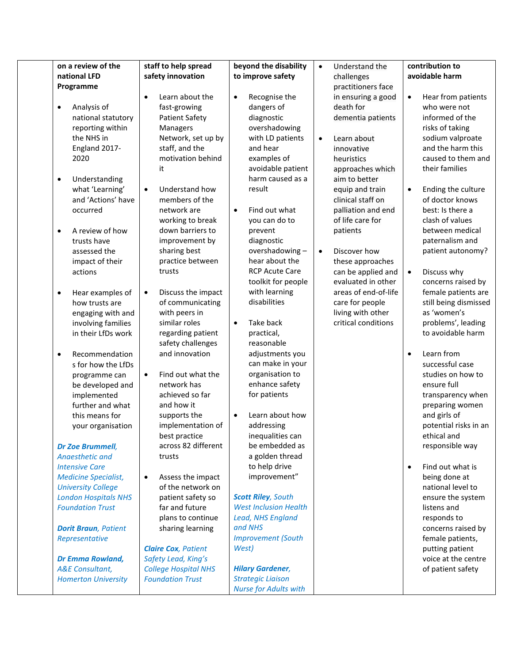| on a review of the                                                                                                                                                                                                                                                                                                                                                                                                                                                                                                                                                                                         | staff to help spread                                                                                                                                                                                                                                                                                                                                                                                                                                                                                                                                                                                                                                     | beyond the disability                                                                                                                                                                                                                                                                                                                                                                                                                                                                                                                                                                                                            | $\bullet$              | Understand the                                                                                                                                                                                                                                                                                                                                                                                                                                |                                                  | contribution to                                                                                                                                                                                                                                                                                                                                                                                                                                                                                                                                                                                                                             |
|------------------------------------------------------------------------------------------------------------------------------------------------------------------------------------------------------------------------------------------------------------------------------------------------------------------------------------------------------------------------------------------------------------------------------------------------------------------------------------------------------------------------------------------------------------------------------------------------------------|----------------------------------------------------------------------------------------------------------------------------------------------------------------------------------------------------------------------------------------------------------------------------------------------------------------------------------------------------------------------------------------------------------------------------------------------------------------------------------------------------------------------------------------------------------------------------------------------------------------------------------------------------------|----------------------------------------------------------------------------------------------------------------------------------------------------------------------------------------------------------------------------------------------------------------------------------------------------------------------------------------------------------------------------------------------------------------------------------------------------------------------------------------------------------------------------------------------------------------------------------------------------------------------------------|------------------------|-----------------------------------------------------------------------------------------------------------------------------------------------------------------------------------------------------------------------------------------------------------------------------------------------------------------------------------------------------------------------------------------------------------------------------------------------|--------------------------------------------------|---------------------------------------------------------------------------------------------------------------------------------------------------------------------------------------------------------------------------------------------------------------------------------------------------------------------------------------------------------------------------------------------------------------------------------------------------------------------------------------------------------------------------------------------------------------------------------------------------------------------------------------------|
| national LFD                                                                                                                                                                                                                                                                                                                                                                                                                                                                                                                                                                                               |                                                                                                                                                                                                                                                                                                                                                                                                                                                                                                                                                                                                                                                          |                                                                                                                                                                                                                                                                                                                                                                                                                                                                                                                                                                                                                                  |                        |                                                                                                                                                                                                                                                                                                                                                                                                                                               |                                                  | avoidable harm                                                                                                                                                                                                                                                                                                                                                                                                                                                                                                                                                                                                                              |
|                                                                                                                                                                                                                                                                                                                                                                                                                                                                                                                                                                                                            |                                                                                                                                                                                                                                                                                                                                                                                                                                                                                                                                                                                                                                                          |                                                                                                                                                                                                                                                                                                                                                                                                                                                                                                                                                                                                                                  |                        |                                                                                                                                                                                                                                                                                                                                                                                                                                               |                                                  |                                                                                                                                                                                                                                                                                                                                                                                                                                                                                                                                                                                                                                             |
| Programme<br>Analysis of<br>$\bullet$<br>national statutory<br>reporting within<br>the NHS in<br>England 2017-<br>2020<br>Understanding<br>$\bullet$<br>what 'Learning'<br>and 'Actions' have<br>occurred<br>A review of how<br>$\bullet$<br>trusts have<br>assessed the<br>impact of their<br>actions<br>Hear examples of<br>٠<br>how trusts are<br>engaging with and<br>involving families<br>in their LfDs work<br>Recommendation<br>$\bullet$<br>s for how the LfDs<br>programme can<br>be developed and<br>implemented<br>further and what<br>this means for<br>your organisation<br>Dr Zoe Brummell, | safety innovation<br>Learn about the<br>fast-growing<br><b>Patient Safety</b><br>Managers<br>Network, set up by<br>staff, and the<br>motivation behind<br>it<br>Understand how<br>$\bullet$<br>members of the<br>network are<br>working to break<br>down barriers to<br>improvement by<br>sharing best<br>practice between<br>trusts<br>Discuss the impact<br>$\bullet$<br>of communicating<br>with peers in<br>similar roles<br>regarding patient<br>safety challenges<br>and innovation<br>Find out what the<br>$\bullet$<br>network has<br>achieved so far<br>and how it<br>supports the<br>implementation of<br>best practice<br>across 82 different | to improve safety<br>Recognise the<br>$\bullet$<br>dangers of<br>diagnostic<br>overshadowing<br>with LD patients<br>and hear<br>examples of<br>avoidable patient<br>harm caused as a<br>result<br>Find out what<br>$\bullet$<br>you can do to<br>prevent<br>diagnostic<br>overshadowing-<br>hear about the<br><b>RCP Acute Care</b><br>toolkit for people<br>with learning<br>disabilities<br>Take back<br>$\bullet$<br>practical,<br>reasonable<br>adjustments you<br>can make in your<br>organisation to<br>enhance safety<br>for patients<br>Learn about how<br>$\bullet$<br>addressing<br>inequalities can<br>be embedded as | $\bullet$<br>$\bullet$ | challenges<br>practitioners face<br>in ensuring a good<br>death for<br>dementia patients<br>Learn about<br>innovative<br>heuristics<br>approaches which<br>aim to better<br>equip and train<br>clinical staff on<br>palliation and end<br>of life care for<br>patients<br>Discover how<br>these approaches<br>can be applied and<br>evaluated in other<br>areas of end-of-life<br>care for people<br>living with other<br>critical conditions | $\bullet$<br>$\bullet$<br>$\bullet$<br>$\bullet$ | Hear from patients<br>who were not<br>informed of the<br>risks of taking<br>sodium valproate<br>and the harm this<br>caused to them and<br>their families<br>Ending the culture<br>of doctor knows<br>best: Is there a<br>clash of values<br>between medical<br>paternalism and<br>patient autonomy?<br>Discuss why<br>concerns raised by<br>female patients are<br>still being dismissed<br>as 'women's<br>problems', leading<br>to avoidable harm<br>Learn from<br>successful case<br>studies on how to<br>ensure full<br>transparency when<br>preparing women<br>and girls of<br>potential risks in an<br>ethical and<br>responsible way |
| <b>Angesthetic and</b><br><b>Intensive Care</b><br><b>Medicine Specialist,</b>                                                                                                                                                                                                                                                                                                                                                                                                                                                                                                                             | trusts<br>Assess the impact<br>$\bullet$                                                                                                                                                                                                                                                                                                                                                                                                                                                                                                                                                                                                                 | a golden thread<br>to help drive<br>improvement"                                                                                                                                                                                                                                                                                                                                                                                                                                                                                                                                                                                 |                        |                                                                                                                                                                                                                                                                                                                                                                                                                                               | $\bullet$                                        | Find out what is<br>being done at                                                                                                                                                                                                                                                                                                                                                                                                                                                                                                                                                                                                           |
| <b>University College</b><br><b>London Hospitals NHS</b><br><b>Foundation Trust</b>                                                                                                                                                                                                                                                                                                                                                                                                                                                                                                                        | of the network on<br>patient safety so<br>far and future                                                                                                                                                                                                                                                                                                                                                                                                                                                                                                                                                                                                 | <b>Scott Riley</b> , South<br><b>West Inclusion Health</b>                                                                                                                                                                                                                                                                                                                                                                                                                                                                                                                                                                       |                        |                                                                                                                                                                                                                                                                                                                                                                                                                                               |                                                  | national level to<br>ensure the system<br>listens and                                                                                                                                                                                                                                                                                                                                                                                                                                                                                                                                                                                       |
| <b>Dorit Braun</b> , Patient<br>Representative<br><b>Dr Emma Rowland,</b>                                                                                                                                                                                                                                                                                                                                                                                                                                                                                                                                  | plans to continue<br>sharing learning<br><b>Claire Cox, Patient</b><br>Safety Lead, King's                                                                                                                                                                                                                                                                                                                                                                                                                                                                                                                                                               | Lead, NHS England<br>and NHS<br><b>Improvement (South</b><br>West)                                                                                                                                                                                                                                                                                                                                                                                                                                                                                                                                                               |                        |                                                                                                                                                                                                                                                                                                                                                                                                                                               |                                                  | responds to<br>concerns raised by<br>female patients,<br>putting patient<br>voice at the centre                                                                                                                                                                                                                                                                                                                                                                                                                                                                                                                                             |
| <b>A&amp;E</b> Consultant,<br><b>Homerton University</b>                                                                                                                                                                                                                                                                                                                                                                                                                                                                                                                                                   | <b>College Hospital NHS</b><br><b>Foundation Trust</b>                                                                                                                                                                                                                                                                                                                                                                                                                                                                                                                                                                                                   | <b>Hilary Gardener,</b><br><b>Strategic Liaison</b><br><b>Nurse for Adults with</b>                                                                                                                                                                                                                                                                                                                                                                                                                                                                                                                                              |                        |                                                                                                                                                                                                                                                                                                                                                                                                                                               |                                                  | of patient safety                                                                                                                                                                                                                                                                                                                                                                                                                                                                                                                                                                                                                           |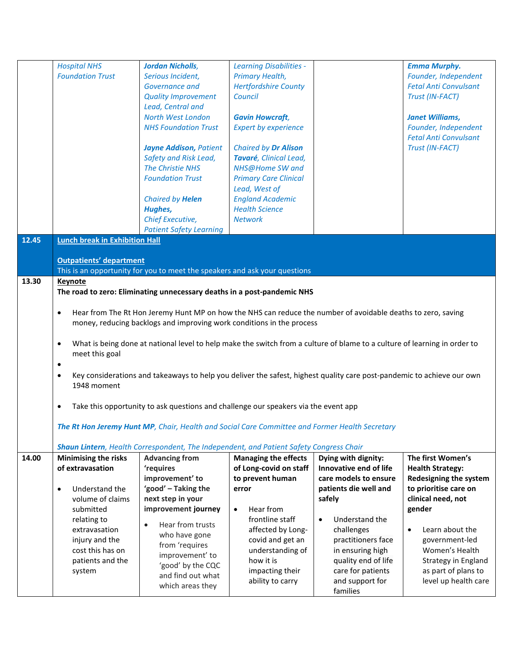|       | <b>Hospital NHS</b>                   | <b>Jordan Nicholls,</b>                                                                                                   | <b>Learning Disabilities -</b> |                             | <b>Emma Murphy.</b>          |
|-------|---------------------------------------|---------------------------------------------------------------------------------------------------------------------------|--------------------------------|-----------------------------|------------------------------|
|       | <b>Foundation Trust</b>               | Serious Incident,                                                                                                         | Primary Health,                |                             | Founder, Independent         |
|       |                                       | <b>Governance and</b>                                                                                                     | <b>Hertfordshire County</b>    |                             | <b>Fetal Anti Convulsant</b> |
|       |                                       | <b>Quality Improvement</b>                                                                                                | Council                        |                             | Trust (IN-FACT)              |
|       |                                       | Lead, Central and                                                                                                         |                                |                             |                              |
|       |                                       | North West London                                                                                                         | <b>Gavin Howcraft,</b>         |                             | <b>Janet Williams,</b>       |
|       |                                       | <b>NHS Foundation Trust</b>                                                                                               | <b>Expert by experience</b>    |                             | Founder, Independent         |
|       |                                       |                                                                                                                           |                                |                             | <b>Fetal Anti Convulsant</b> |
|       |                                       | <b>Jayne Addison, Patient</b>                                                                                             | <b>Chaired by Dr Alison</b>    |                             | Trust (IN-FACT)              |
|       |                                       | Safety and Risk Lead,                                                                                                     | Tavaré, Clinical Lead,         |                             |                              |
|       |                                       | The Christie NHS                                                                                                          | NHS@Home SW and                |                             |                              |
|       |                                       | <b>Foundation Trust</b>                                                                                                   | <b>Primary Care Clinical</b>   |                             |                              |
|       |                                       |                                                                                                                           | Lead, West of                  |                             |                              |
|       |                                       | Chaired by Helen                                                                                                          | <b>England Academic</b>        |                             |                              |
|       |                                       | Hughes,                                                                                                                   | <b>Health Science</b>          |                             |                              |
|       |                                       | Chief Executive,                                                                                                          | <b>Network</b>                 |                             |                              |
|       |                                       | <b>Patient Safety Learning</b>                                                                                            |                                |                             |                              |
| 12.45 | <b>Lunch break in Exhibition Hall</b> |                                                                                                                           |                                |                             |                              |
|       |                                       |                                                                                                                           |                                |                             |                              |
|       | <b>Outpatients' department</b>        |                                                                                                                           |                                |                             |                              |
|       |                                       | This is an opportunity for you to meet the speakers and ask your questions                                                |                                |                             |                              |
| 13.30 | <b>Keynote</b>                        |                                                                                                                           |                                |                             |                              |
|       |                                       | The road to zero: Eliminating unnecessary deaths in a post-pandemic NHS                                                   |                                |                             |                              |
|       |                                       |                                                                                                                           |                                |                             |                              |
|       | $\bullet$                             | Hear from The Rt Hon Jeremy Hunt MP on how the NHS can reduce the number of avoidable deaths to zero, saving              |                                |                             |                              |
|       |                                       | money, reducing backlogs and improving work conditions in the process                                                     |                                |                             |                              |
|       |                                       |                                                                                                                           |                                |                             |                              |
|       | $\bullet$                             | What is being done at national level to help make the switch from a culture of blame to a culture of learning in order to |                                |                             |                              |
|       | meet this goal                        |                                                                                                                           |                                |                             |                              |
|       |                                       |                                                                                                                           |                                |                             |                              |
|       | $\bullet$                             |                                                                                                                           |                                |                             |                              |
|       | $\bullet$                             | Key considerations and takeaways to help you deliver the safest, highest quality care post-pandemic to achieve our own    |                                |                             |                              |
|       | 1948 moment                           |                                                                                                                           |                                |                             |                              |
|       |                                       |                                                                                                                           |                                |                             |                              |
|       | $\bullet$                             | Take this opportunity to ask questions and challenge our speakers via the event app                                       |                                |                             |                              |
|       |                                       |                                                                                                                           |                                |                             |                              |
|       |                                       | The Rt Hon Jeremy Hunt MP, Chair, Health and Social Care Committee and Former Health Secretary                            |                                |                             |                              |
|       |                                       |                                                                                                                           |                                |                             |                              |
|       |                                       | Shaun Lintern, Health Correspondent, The Independent, and Patient Safety Congress Chair                                   |                                |                             |                              |
| 14.00 | Minimising the risks                  | <b>Advancing from</b>                                                                                                     | <b>Managing the effects</b>    | Dying with dignity:         | The first Women's            |
|       | of extravasation                      | 'requires                                                                                                                 | of Long-covid on staff         | Innovative end of life      | <b>Health Strategy:</b>      |
|       |                                       | improvement' to                                                                                                           | to prevent human               | care models to ensure       | Redesigning the system       |
|       | Understand the<br>$\bullet$           | 'good' - Taking the                                                                                                       | error                          | patients die well and       | to prioritise care on        |
|       | volume of claims                      | next step in your                                                                                                         |                                | safely                      | clinical need, not           |
|       | submitted                             | improvement journey                                                                                                       | Hear from<br>$\bullet$         |                             | gender                       |
|       | relating to                           | Hear from trusts<br>$\bullet$                                                                                             | frontline staff                | Understand the<br>$\bullet$ |                              |
|       | extravasation                         | who have gone                                                                                                             | affected by Long-              | challenges                  | Learn about the<br>$\bullet$ |
|       | injury and the                        | from 'requires                                                                                                            | covid and get an               | practitioners face          | government-led               |
|       | cost this has on                      | improvement' to                                                                                                           | understanding of               | in ensuring high            | Women's Health               |
|       | patients and the                      | 'good' by the CQC                                                                                                         | how it is                      | quality end of life         | Strategy in England          |
|       | system                                | and find out what                                                                                                         | impacting their                | care for patients           | as part of plans to          |
|       |                                       |                                                                                                                           | ability to carry               | and support for             | level up health care         |
|       |                                       | which areas they                                                                                                          |                                | families                    |                              |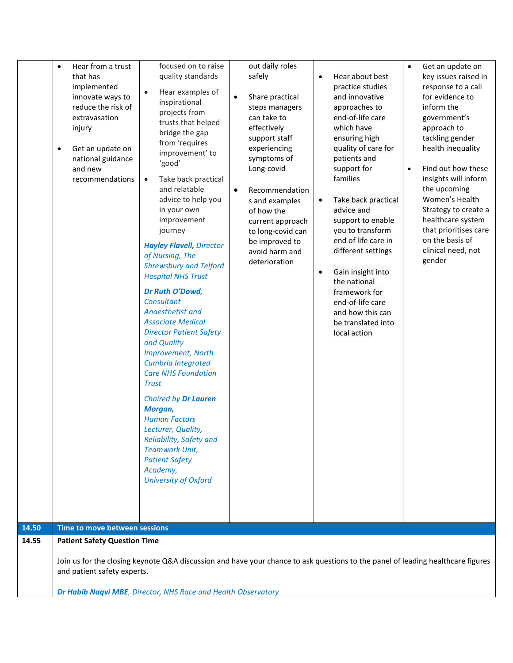|       | $\bullet$<br>$\bullet$ | Hear from a trust<br>that has<br>implemented<br>innovate ways to<br>reduce the risk of<br>extravasation<br>injury<br>Get an update on<br>national guidance<br>and new<br>recommendations                                        | focused on to raise<br>quality standards<br>Hear examples of<br>$\bullet$<br>inspirational<br>projects from<br>trusts that helped<br>bridge the gap<br>from 'requires<br>improvement' to<br>'good'<br>Take back practical<br>$\bullet$<br>and relatable<br>advice to help you<br>in your own<br>improvement<br>journey<br><b>Hayley Flavell, Director</b><br>of Nursing, The<br><b>Shrewsbury and Telford</b><br><b>Hospital NHS Trust</b><br>Dr Ruth O'Dowd,<br><b>Consultant</b><br>Anaesthetist and<br><b>Associate Medical</b><br><b>Director Patient Safety</b><br>and Quality<br><b>Improvement, North</b><br>Cumbria Integrated<br><b>Care NHS Foundation</b><br><b>Trust</b><br>Chaired by Dr Lauren<br>Morgan,<br><b>Human Factors</b><br>Lecturer, Quality,<br>Reliability, Safety and<br><b>Teamwork Unit,</b><br><b>Patient Safety</b><br>Academy,<br>University of Oxford | out daily roles<br>safely<br>Share practical<br>$\bullet$<br>steps managers<br>can take to<br>effectively<br>support staff<br>experiencing<br>symptoms of<br>Long-covid<br>Recommendation<br>$\bullet$<br>s and examples<br>of how the<br>current approach<br>to long-covid can<br>be improved to<br>avoid harm and<br>deterioration |  | Hear about best<br>$\bullet$<br>practice studies<br>and innovative<br>approaches to<br>end-of-life care<br>which have<br>ensuring high<br>quality of care for<br>patients and<br>support for<br>families<br>Take back practical<br>$\bullet$<br>advice and<br>support to enable<br>you to transform<br>end of life care in<br>different settings<br>Gain insight into<br>$\bullet$<br>the national<br>framework for<br>end-of-life care<br>and how this can<br>be translated into<br>local action | $\bullet$<br>$\bullet$ | Get an update on<br>key issues raised in<br>response to a call<br>for evidence to<br>inform the<br>government's<br>approach to<br>tackling gender<br>health inequality<br>Find out how these<br>insights will inform<br>the upcoming<br>Women's Health<br>Strategy to create a<br>healthcare system<br>that prioritises care<br>on the basis of<br>clinical need, not<br>gender |
|-------|------------------------|---------------------------------------------------------------------------------------------------------------------------------------------------------------------------------------------------------------------------------|----------------------------------------------------------------------------------------------------------------------------------------------------------------------------------------------------------------------------------------------------------------------------------------------------------------------------------------------------------------------------------------------------------------------------------------------------------------------------------------------------------------------------------------------------------------------------------------------------------------------------------------------------------------------------------------------------------------------------------------------------------------------------------------------------------------------------------------------------------------------------------------|--------------------------------------------------------------------------------------------------------------------------------------------------------------------------------------------------------------------------------------------------------------------------------------------------------------------------------------|--|---------------------------------------------------------------------------------------------------------------------------------------------------------------------------------------------------------------------------------------------------------------------------------------------------------------------------------------------------------------------------------------------------------------------------------------------------------------------------------------------------|------------------------|---------------------------------------------------------------------------------------------------------------------------------------------------------------------------------------------------------------------------------------------------------------------------------------------------------------------------------------------------------------------------------|
| 14.50 |                        | Time to move between sessions                                                                                                                                                                                                   |                                                                                                                                                                                                                                                                                                                                                                                                                                                                                                                                                                                                                                                                                                                                                                                                                                                                                        |                                                                                                                                                                                                                                                                                                                                      |  |                                                                                                                                                                                                                                                                                                                                                                                                                                                                                                   |                        |                                                                                                                                                                                                                                                                                                                                                                                 |
| 14.55 |                        | <b>Patient Safety Question Time</b>                                                                                                                                                                                             |                                                                                                                                                                                                                                                                                                                                                                                                                                                                                                                                                                                                                                                                                                                                                                                                                                                                                        |                                                                                                                                                                                                                                                                                                                                      |  |                                                                                                                                                                                                                                                                                                                                                                                                                                                                                                   |                        |                                                                                                                                                                                                                                                                                                                                                                                 |
|       |                        | Join us for the closing keynote Q&A discussion and have your chance to ask questions to the panel of leading healthcare figures<br>and patient safety experts.<br>Dr Habib Naqvi MBE, Director, NHS Race and Health Observatory |                                                                                                                                                                                                                                                                                                                                                                                                                                                                                                                                                                                                                                                                                                                                                                                                                                                                                        |                                                                                                                                                                                                                                                                                                                                      |  |                                                                                                                                                                                                                                                                                                                                                                                                                                                                                                   |                        |                                                                                                                                                                                                                                                                                                                                                                                 |